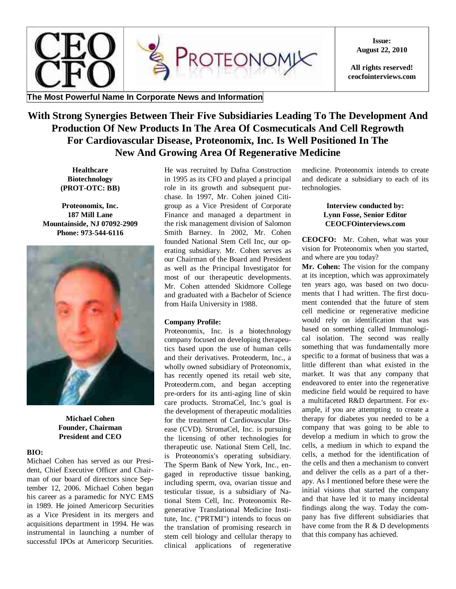

**Issue: August 22, 2010**

**All rights reserved! ceocfointerviews.com**

## **The Most Powerful Name In Corporate News and Information**

# **With Strong Synergies Between Their Five Subsidiaries Leading To The Development And Production Of New Products In The Area Of Cosmecuticals And Cell Regrowth For Cardiovascular Disease, Proteonomix, Inc. Is Well Positioned In The New And Growing Area Of Regenerative Medicine**

**Healthcare Biotechnology (PROT-OTC: BB)**

**Proteonomix, Inc. 187 Mill Lane Mountainside, NJ 07092-2909 Phone: 973-544-6116**



**Michael Cohen Founder, Chairman President and CEO**

### **BIO:**

Michael Cohen has served as our President, Chief Executive Officer and Chairman of our board of directors since September 12, 2006. Michael Cohen began his career as a paramedic for NYC EMS in 1989. He joined Americorp Securities as a Vice President in its mergers and acquisitions department in 1994. He was instrumental in launching a number of successful IPOs at Americorp Securities. He was recruited by Dafna Construction in 1995 as its CFO and played a principal role in its growth and subsequent purchase. In 1997, Mr. Cohen joined Citigroup as a Vice President of Corporate Finance and managed a department in the risk management division of Salomon Smith Barney. In 2002, Mr. Cohen founded National Stem Cell Inc, our operating subsidiary. Mr. Cohen serves as our Chairman of the Board and President as well as the Principal Investigator for most of our therapeutic developments. Mr. Cohen attended Skidmore College and graduated with a Bachelor of Science from Haifa University in 1988.

### **Company Profile:**

Proteonomix, Inc. is a biotechnology company focused on developing therapeutics based upon the use of human cells and their derivatives. Proteoderm, Inc., a wholly owned subsidiary of Proteonomix, has recently opened its retail web site, Proteoderm.com, and began accepting pre-orders for its anti-aging line of skin care products. StromaCel, Inc.'s goal is the development of therapeutic modalities for the treatment of Cardiovascular Disease (CVD). StromaCel, Inc. is pursuing the licensing of other technologies for therapeutic use. National Stem Cell, Inc. is Proteonomix's operating subsidiary. The Sperm Bank of New York, Inc., engaged in reproductive tissue banking, including sperm, ova, ovarian tissue and testicular tissue, is a subsidiary of National Stem Cell, Inc. Proteonomix Regenerative Translational Medicine Institute, Inc. ("PRTMI") intends to focus on the translation of promising research in stem cell biology and cellular therapy to clinical applications of regenerative

medicine. Proteonomix intends to create and dedicate a subsidiary to each of its technologies.

#### **Interview conducted by: Lynn Fosse, Senior Editor CEOCFOinterviews.com**

**CEOCFO:** Mr. Cohen, what was your vision for Proteonomix when you started, and where are you today?

**Mr. Cohen:** The vision for the company at its inception, which was approximately ten years ago, was based on two documents that I had written. The first document contended that the future of stem cell medicine or regenerative medicine would rely on identification that was based on something called Immunological isolation. The second was really something that was fundamentally more specific to a format of business that was a little different than what existed in the market. It was that any company that endeavored to enter into the regenerative medicine field would be required to have a multifaceted R&D department. For example, if you are attempting to create a therapy for diabetes you needed to be a company that was going to be able to develop a medium in which to grow the cells, a medium in which to expand the cells, a method for the identification of the cells and then a mechanism to convert and deliver the cells as a part of a therapy. As I mentioned before these were the initial visions that started the company and that have led it to many incidental findings along the way. Today the company has five different subsidiaries that have come from the R & D developments that this company has achieved.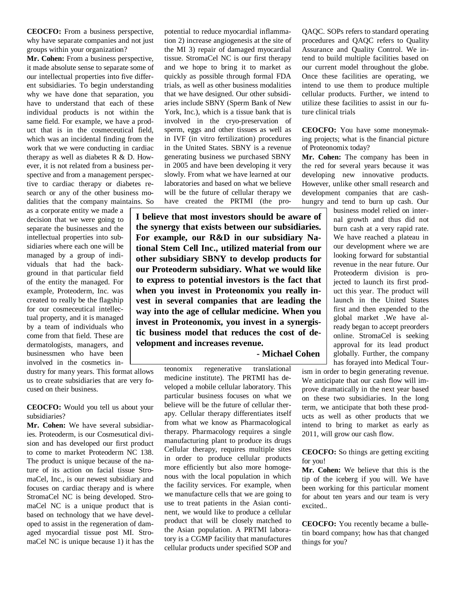**CEOCFO:** From a business perspective, why have separate companies and not just groups within your organization?

**Mr. Cohen:** From a business perspective, it made absolute sense to separate some of our intellectual properties into five different subsidiaries. To begin understanding why we have done that separation, you have to understand that each of these individual products is not within the same field. For example, we have a product that is in the cosmeceutical field, which was an incidental finding from the work that we were conducting in cardiac therapy as well as diabetes R & D. However, it is not related from a business perspective and from a management perspective to cardiac therapy or diabetes research or any of the other business modalities that the company maintains. So

as a corporate entity we made a decision that we were going to separate the businesses and the intellectual properties into subsidiaries where each one will be managed by a group of individuals that had the background in that particular field of the entity the managed. For example, Proteoderm, Inc. was created to really be the flagship for our cosmeceutical intellectual property, and it is managed by a team of individuals who come from that field. These are dermatologists, managers, and businessmen who have been involved in the cosmetics in-

dustry for many years. This format allows us to create subsidiaries that are very focused on their business.

**CEOCFO:** Would you tell us about your subsidiaries?

**Mr. Cohen:** We have several subsidiaries. Proteoderm, is our Cosmesutical division and has developed our first product to come to market Proteoderm NC 138. The product is unique because of the nature of its action on facial tissue StromaCel, Inc., is our newest subsidiary and focuses on cardiac therapy and is where StromaCel NC is being developed. StromaCel NC is a unique product that is based on technology that we have developed to assist in the regeneration of damaged myocardial tissue post MI. StromaCel NC is unique because 1) it has the potential to reduce myocardial inflammation 2) increase angiogenesis at the site of the MI 3) repair of damaged myocardial tissue. StromaCel NC is our first therapy and we hope to bring it to market as quickly as possible through formal FDA trials, as well as other business modalities that we have designed. Our other subsidiaries include SBNY (Sperm Bank of New York, Inc.), which is a tissue bank that is involved in the cryo-preservation of sperm, eggs and other tissues as well as in IVF (in vitro fertilization) procedures in the United States. SBNY is a revenue generating business we purchased SBNY in 2005 and have been developing it very slowly. From what we have learned at our laboratories and based on what we believe will be the future of cellular therapy we have created the PRTMI (the pro-

**I believe that most investors should be aware of the synergy that exists between our subsidiaries. For example, our R&D in our subsidiary National Stem Cell Inc., utilized material from our other subsidiary SBNY to develop products for our Proteoderm subsidiary. What we would like to express to potential investors is the fact that when you invest in Proteonomix you really invest in several companies that are leading the way into the age of cellular medicine. When you invest in Proteonomix, you invest in a synergistic business model that reduces the cost of development and increases revenue.**

 **- Michael Cohen**

teonomix regenerative translational medicine institute). The PRTMI has developed a mobile cellular laboratory. This particular business focuses on what we believe will be the future of cellular therapy. Cellular therapy differentiates itself from what we know as Pharmacological therapy. Pharmacology requires a single manufacturing plant to produce its drugs Cellular therapy, requires multiple sites in order to produce cellular products more efficiently but also more homogenous with the local population in which the facility services. For example, when we manufacture cells that we are going to use to treat patients in the Asian continent, we would like to produce a cellular product that will be closely matched to the Asian population. A PRTMI laboratory is a CGMP facility that manufactures cellular products under specified SOP and

QAQC. SOPs refers to standard operating procedures and QAQC refers to Quality Assurance and Quality Control. We intend to build multiple facilities based on our current model throughout the globe. Once these facilities are operating, we intend to use them to produce multiple cellular products. Further, we intend to utilize these facilities to assist in our future clinical trials

**CEOCFO:** You have some moneymaking projects; what is the financial picture of Proteonomix today?

**Mr. Cohen:** The company has been in the red for several years because it was developing new innovative products. However, unlike other small research and development companies that are cashhungry and tend to burn up cash. Our

> business model relied on internal growth and thus did not burn cash at a very rapid rate. We have reached a plateau in our development where we are looking forward for substantial revenue in the near future. Our Proteoderm division is projected to launch its first product this year. The product will launch in the United States first and then expended to the global market .We have already began to accept preorders online. StromaCel is seeking approval for its lead product globally. Further, the company has forayed into Medical Tour-

ism in order to begin generating revenue. We anticipate that our cash flow will improve dramatically in the next year based on these two subsidiaries. In the long term, we anticipate that both these products as well as other products that we intend to bring to market as early as 2011, will grow our cash flow.

**CEOCFO:** So things are getting exciting for you!

**Mr. Cohen:** We believe that this is the tip of the iceberg if you will. We have been working for this particular moment for about ten years and our team is very excited..

**CEOCFO:** You recently became a bulletin board company; how has that changed things for you?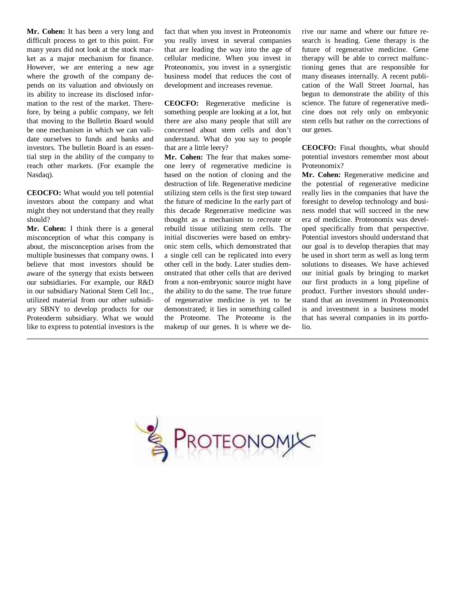**Mr. Cohen:** It has been a very long and difficult process to get to this point. For many years did not look at the stock market as a major mechanism for finance. However, we are entering a new age where the growth of the company depends on its valuation and obviously on its ability to increase its disclosed information to the rest of the market. Therefore, by being a public company, we felt that moving to the Bulletin Board would be one mechanism in which we can validate ourselves to funds and banks and investors. The bulletin Board is an essential step in the ability of the company to reach other markets. (For example the Nasdaq).

**CEOCFO:** What would you tell potential investors about the company and what might they not understand that they really should?

**Mr. Cohen:** I think there is a general misconception of what this company is about, the misconception arises from the multiple businesses that company owns. I believe that most investors should be aware of the synergy that exists between our subsidiaries. For example, our R&D in our subsidiary National Stem Cell Inc., utilized material from our other subsidiary SBNY to develop products for our Proteoderm subsidiary. What we would like to express to potential investors is the fact that when you invest in Proteonomix you really invest in several companies that are leading the way into the age of cellular medicine. When you invest in Proteonomix, you invest in a synergistic business model that reduces the cost of development and increases revenue.

**CEOCFO:** Regenerative medicine is something people are looking at a lot, but there are also many people that still are concerned about stem cells and don't understand. What do you say to people that are a little leery?

**Mr. Cohen:** The fear that makes someone leery of regenerative medicine is based on the notion of cloning and the destruction of life. Regenerative medicine utilizing stem cells is the first step toward the future of medicine In the early part of this decade Regenerative medicine was thought as a mechanism to recreate or rebuild tissue utilizing stem cells. The initial discoveries were based on embryonic stem cells, which demonstrated that a single cell can be replicated into every other cell in the body. Later studies demonstrated that other cells that are derived from a non-embryonic source might have the ability to do the same. The true future of regenerative medicine is yet to be demonstrated; it lies in something called the Proteome. The Proteome is the makeup of our genes. It is where we derive our name and where our future research is heading. Gene therapy is the future of regenerative medicine. Gene therapy will be able to correct malfunctioning genes that are responsible for many diseases internally. A recent publication of the Wall Street Journal, has begun to demonstrate the ability of this science. The future of regenerative medicine does not rely only on embryonic stem cells but rather on the corrections of our genes.

**CEOCFO:** Final thoughts, what should potential investors remember most about Proteonomix?

**Mr. Cohen:** Regenerative medicine and the potential of regenerative medicine really lies in the companies that have the foresight to develop technology and business model that will succeed in the new era of medicine. Proteonomix was developed specifically from that perspective. Potential investors should understand that our goal is to develop therapies that may be used in short term as well as long term solutions to diseases. We have achieved our initial goals by bringing to market our first products in a long pipeline of product. Further investors should understand that an investment in Proteonomix is and investment in a business model that has several companies in its portfolio.